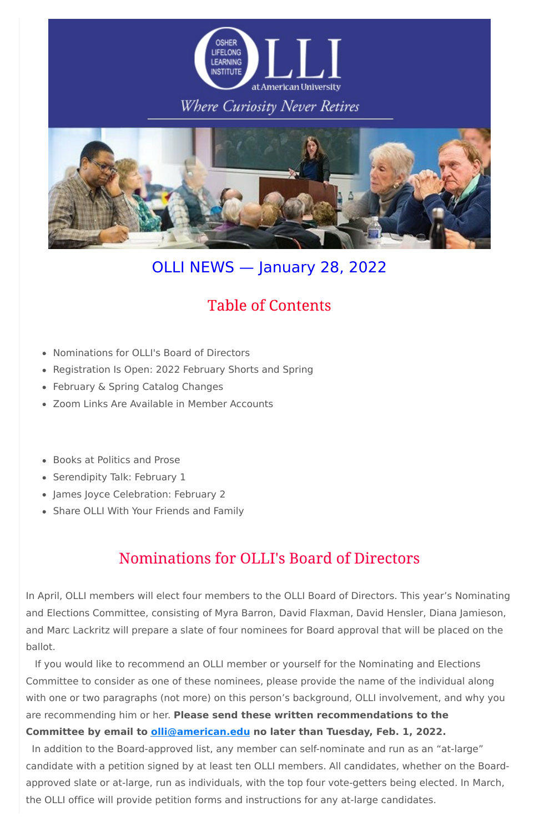

# Where Curiosity Never Retires



# OLLI NEWS — January 28, 2022

- Nominations for OLLI's Board of Directors
- Registration Is Open: 2022 February Shorts and Spring
- February & Spring Catalog Changes
- Zoom Links Are Available in Member Accounts
- Books at Politics and Prose
- Serendipity Talk: February 1
- James Joyce Celebration: February 2
- Share OLLI With Your Friends and Family

# **Table of Contents**

# Nominations for OLLI's Board of Directors

In April, OLLI members will elect four members to the OLLI Board of Directors. This year's Nominating and Elections Committee, consisting of Myra Barron, David Flaxman, David Hensler, Diana Jamieson, and Marc Lackritz will prepare a slate of four nominees for Board approval that will be placed on the ballot.

If you would like to recommend an OLLI member or yourself for the Nominating and Elections Committee to consider as one of these nominees, please provide the name of the individual along with one or two paragraphs (not more) on this person's background, OLLI involvement, and why you are recommending him or her. **Please send these written recommendations to the**

## **Committee by email to [olli@american.edu](mailto:olli@american.edu) no later than Tuesday, Feb. 1, 2022.**

In addition to the Board-approved list, any member can self-nominate and run as an "at-large" candidate with a petition signed by at least ten OLLI members. All candidates, whether on the Boardapproved slate or at-large, run as individuals, with the top four vote-getters being elected. In March, the OLLI office will provide petition forms and instructions for any at-large candidates.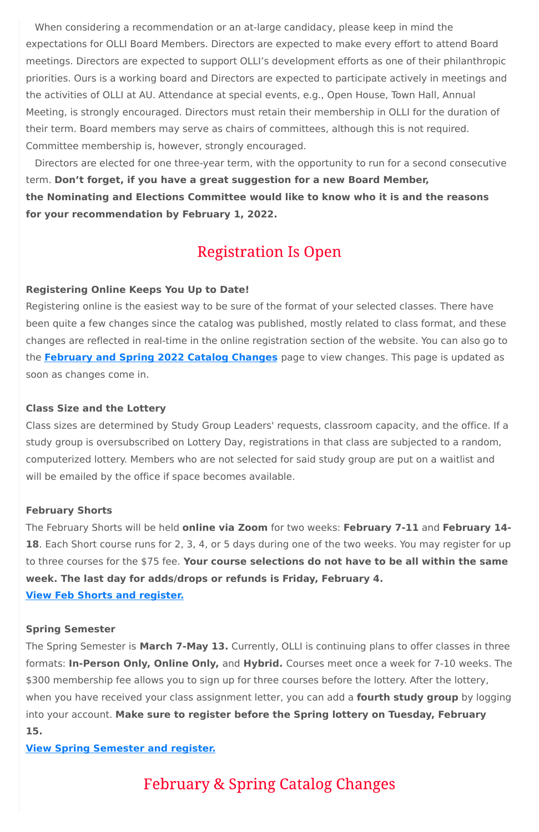When considering a recommendation or an at-large candidacy, please keep in mind the expectations for OLLI Board Members. Directors are expected to make every effort to attend Board meetings. Directors are expected to support OLLI's development efforts as one of their philanthropic priorities. Ours is a working board and Directors are expected to participate actively in meetings and the activities of OLLI at AU. Attendance at special events, e.g., Open House, Town Hall, Annual Meeting, is strongly encouraged. Directors must retain their membership in OLLI for the duration of their term. Board members may serve as chairs of committees, although this is not required. Committee membership is, however, strongly encouraged.

Directors are elected for one three-year term, with the opportunity to run for a second consecutive term. **Don't forget, if you have a great suggestion for a new Board Member, the Nominating and Elections Committee would like to know who it is and the reasons for your recommendation by February 1, 2022.**

# **Registration Is Open**

## **Registering Online Keeps You Up to Date!**

Registering online is the easiest way to be sure of the format of your selected classes. There have been quite a few changes since the catalog was published, mostly related to class format, and these changes are reflected in real-time in the online registration section of the website. You can also go to the **[February](https://www.olli-dc.org/feb_spring_catalog_changes) and Spring 2022 Catalog Changes** page to view changes. This page is updated as soon as changes come in.

### **Class Size and the Lottery**

Class sizes are determined by Study Group Leaders' requests, classroom capacity, and the office. If a study group is oversubscribed on Lottery Day, registrations in that class are subjected to a random, computerized lottery. Members who are not selected for said study group are put on a waitlist and will be emailed by the office if space becomes available.

#### **February Shorts**

The February Shorts will be held **online via Zoom** for two weeks: **February 7-11** and **February 14- 18**. Each Short course runs for 2, 3, 4, or 5 days during one of the two weeks. You may register for up to three courses for the \$75 fee. **Your course selections do not have to be all within the same week. The last day for adds/drops or refunds is Friday, February 4.**

**View Feb Shorts and [register.](https://www.olli-dc.org/shorts_courses)**

## **Spring Semester**

The Spring Semester is **March 7-May 13.** Currently, OLLI is continuing plans to offer classes in three formats: **In-Person Only, Online Only,** and **Hybrid.** Courses meet once a week for 7-10 weeks. The \$300 membership fee allows you to sign up for three courses before the lottery. After the lottery, when you have received your class assignment letter, you can add a **fourth study group** by logging into your account. **Make sure to register before the Spring lottery on Tuesday, February 15.**

**View Spring [Semester](https://www.olli-dc.org/view_all_study_groups) and register.**

**February & Spring Catalog Changes**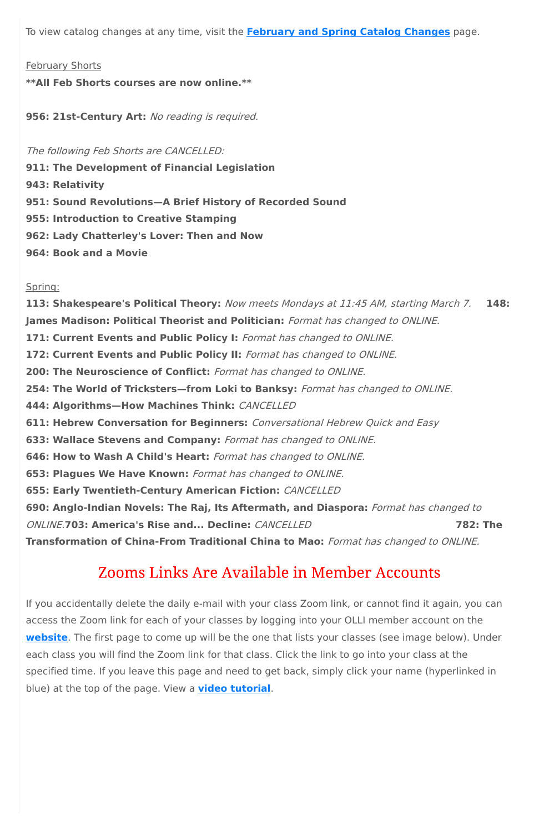To view catalog changes at any time, visit the **[February](https://www.olli-dc.org/feb_spring_catalog_changes) and Spring Catalog Changes** page.

#### February Shorts

**\*\*All Feb Shorts courses are now online.\*\***

**956: 21st-Century Art:** No reading is required.

The following Feb Shorts are CANCELLED:

**911: The Development of Financial Legislation 943: Relativity 951: Sound Revolutions—A Brief History of Recorded Sound 955: Introduction to Creative Stamping 962: Lady Chatterley's Lover: Then and Now 964: Book and a Movie**

#### Spring:

**113: Shakespeare's Political Theory:** Now meets Mondays at 11:45 AM, starting March 7. **148: James Madison: Political Theorist and Politician:** Format has changed to ONLINE. **171: Current Events and Public Policy I:** Format has changed to ONLINE. **172: Current Events and Public Policy II:** Format has changed to ONLINE. **200: The Neuroscience of Conflict:** Format has changed to ONLINE. **254: The World of Tricksters—from Loki to Banksy:** Format has changed to ONLINE. **444: Algorithms—How Machines Think:** CANCELLED **611: Hebrew Conversation for Beginners:** Conversational Hebrew Quick and Easy **633: Wallace Stevens and Company:** Format has changed to ONLINE. **646: How to Wash A Child's Heart:** Format has changed to ONLINE. **653: Plagues We Have Known:** Format has changed to ONLINE. **655: Early Twentieth-Century American Fiction:** CANCELLED **690: Anglo-Indian Novels: The Raj, Its Aftermath, and Diaspora:** Format has changed to ONLINE.**703: America's Rise and... Decline:** CANCELLED **782: The Transformation of China-From Traditional China to Mao:** Format has changed to ONLINE.

## Zooms Links Are Available in Member Accounts

If you accidentally delete the daily e-mail with your class Zoom link, or cannot find it again, you can

access the Zoom link for each of your classes by logging into your OLLI member account on the **[website](https://www.olli-dc.org/)**. The first page to come up will be the one that lists your classes (see image below). Under each class you will find the Zoom link for that class. Click the link to go into your class at the specified time. If you leave this page and need to get back, simply click your name (hyperlinked in blue) at the top of the page. View a **video [tutorial](https://vimeo.com/666099470)**.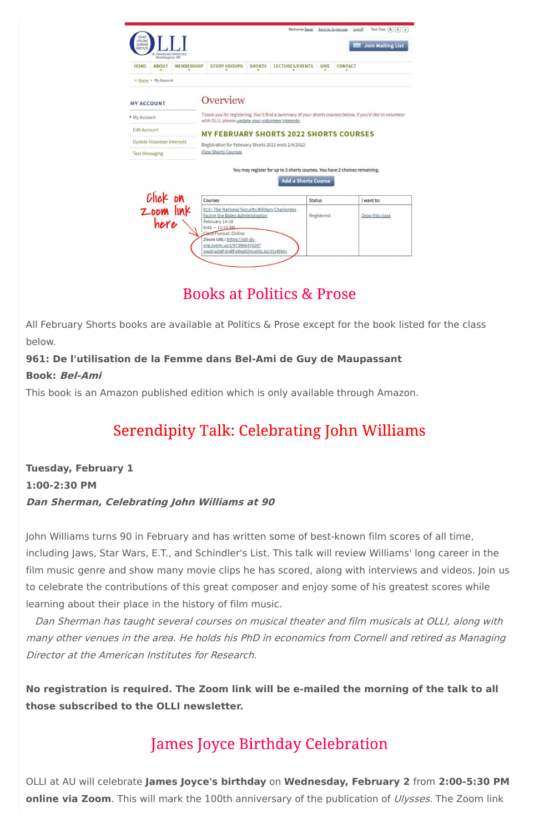| <b>OSHER</b><br>LIFELONG<br>LEARNING<br><b>INSTITUTE</b><br>at American University<br>Washington, DC     |                                                                                                                                                                                                                                                  |               | Welcome Sara!                                 |                                        | Text Size: $\overline{A}$ $\overline{A}$ $\overline{A}$ $\overline{A}$<br>Back to Superuser Logoff<br><b>Join Mailing List</b> |
|----------------------------------------------------------------------------------------------------------|--------------------------------------------------------------------------------------------------------------------------------------------------------------------------------------------------------------------------------------------------|---------------|-----------------------------------------------|----------------------------------------|--------------------------------------------------------------------------------------------------------------------------------|
| <b>HOME</b><br><b>ABOUT</b><br><b>MEMBERSHIP</b>                                                         | <b>STUDY GROUPS</b>                                                                                                                                                                                                                              | <b>SHORTS</b> | <b>LECTURES/EVENTS</b>                        | <b>GIVE</b><br>$\overline{\mathbf{v}}$ | <b>CONTACT</b>                                                                                                                 |
| > Home > My Account                                                                                      |                                                                                                                                                                                                                                                  |               |                                               |                                        |                                                                                                                                |
| <b>MY ACCOUNT</b><br>My Account                                                                          | Overview<br>with OLLI, please update your volunteer interests.                                                                                                                                                                                   |               |                                               |                                        | Thank you for registering. You'll find a summary of your shorts courses below. If you'd like to volunteer                      |
| <b>Edit Account</b>                                                                                      |                                                                                                                                                                                                                                                  |               | <b>MY FEBRUARY SHORTS 2022 SHORTS COURSES</b> |                                        |                                                                                                                                |
| <b>Update Volunteer Interests</b>                                                                        | Registration for February Shorts 2022 ends 2/4/2022                                                                                                                                                                                              |               |                                               |                                        |                                                                                                                                |
| <b>Text Messaging</b>                                                                                    | <b>View Shorts Courses</b>                                                                                                                                                                                                                       |               |                                               |                                        |                                                                                                                                |
| You may register for up to 3 shorts courses. You have 2 choices remaining.<br><b>Add a Shorts Course</b> |                                                                                                                                                                                                                                                  |               |                                               |                                        |                                                                                                                                |
|                                                                                                          | Courses                                                                                                                                                                                                                                          |               |                                               | <b>Status</b>                          | I want to:                                                                                                                     |
| Click on<br>Zoom link<br>here                                                                            | 910: The National Security/Military Challenges<br>Facing the Biden Administration<br>February 14-16<br>$9:45 - 11:15$ AM<br>Class Format: Online<br>Zoom URL: https://olli-dc-<br>org.zoom.us/j/97396647628?<br>pwd=aDdFdnRFaWp6OmplMzJxL01vWkhr |               |                                               | Registered                             | Drop this class                                                                                                                |

# **Books at Politics & Prose**

All February Shorts books are available at Politics & Prose except for the book listed for the class below.

# **961: De l'utilisation de la Femme dans Bel-Ami de Guy de Maupassant**

## **Book: Bel-Ami**

This book is an Amazon published edition which is only available through Amazon.

# **Serendipity Talk: Celebrating John Williams**

**Tuesday, February 1 1:00-2:30 PM Dan Sherman, Celebrating John Williams at 90**

John Williams turns 90 in February and has written some of best-known film scores of all time, including Jaws, Star Wars, E.T., and Schindler's List. This talk will review Williams' long career in the film music genre and show many movie clips he has scored, along with interviews and videos. Join us to celebrate the contributions of this great composer and enjoy some of his greatest scores while learning about their place in the history of film music.

OLLI at AU will celebrate **James Joyce's birthday** on **Wednesday, February 2** from **2:00-5:30 PM online via Zoom**. This will mark the 100th anniversary of the publication of *Ulysses*. The Zoom link

Dan Sherman has taught several courses on musical theater and film musicals at OLLI, along with many other venues in the area. He holds his PhD in economics from Cornell and retired as Managing Director at the American Institutes for Research.

**No registration is required. The Zoom link will be e-mailed the morning of the talk to all those subscribed to the OLLI newsletter.**

# **James Joyce Birthday Celebration**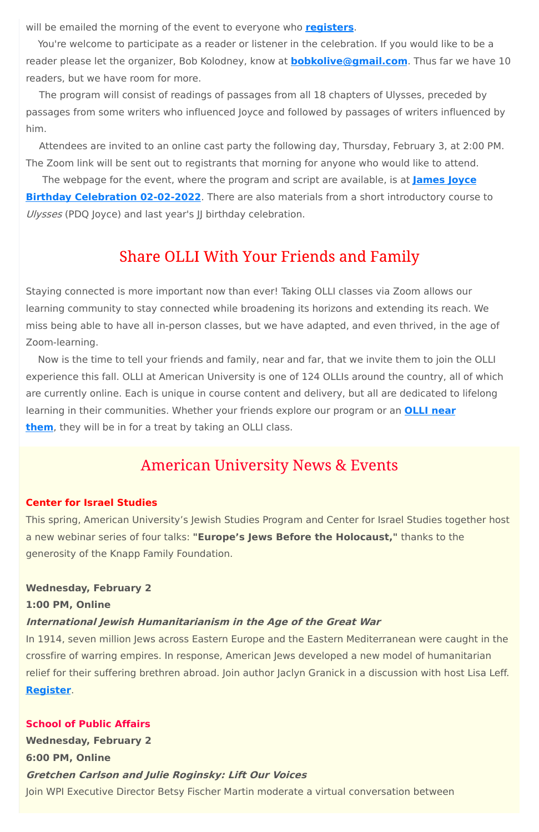will be emailed the morning of the event to everyone who **[registers](https://www.olli-dc.org/EventRegistration/Register/894)**.

You're welcome to participate as a reader or listener in the celebration. If you would like to be a reader please let the organizer, Bob Kolodney, know at **[bobkolive@gmail.com](mailto:bobkolive@gmail.com)**. Thus far we have 10 readers, but we have room for more.

The webpage for the event, where the program and script are available, is at **James Joyce Birthday [Celebration](https://sites.google.com/view/jajoycebirthday2021/james-joyce-birthday-2022?authuser=0) 02-02-2022**. There are also materials from a short introductory course to Ulysses (PDQ Joyce) and last year's JJ birthday celebration.

## **Share OLLI With Your Friends and Family**

The program will consist of readings of passages from all 18 chapters of Ulysses, preceded by passages from some writers who influenced Joyce and followed by passages of writers influenced by him.

Attendees are invited to an online cast party the following day, Thursday, February 3, at 2:00 PM. The Zoom link will be sent out to registrants that morning for anyone who would like to attend.

Staying connected is more important now than ever! Taking OLLI classes via Zoom allows our learning community to stay connected while broadening its horizons and extending its reach. We miss being able to have all in-person classes, but we have adapted, and even thrived, in the age of Zoom-learning.

Now is the time to tell your friends and family, near and far, that we invite them to join the OLLI experience this fall. OLLI at American University is one of 124 OLLIs around the country, all of which are currently online. Each is unique in course content and delivery, but all are dedicated to lifelong learning in their [communities.](https://sps.northwestern.edu/oshernrc/files_nrc/lli_directory_2019.pdf) Whether your friends explore our program or an **OLLI near them**, they will be in for a treat by taking an OLLI class.

# **American University News & Events**

## **Center for Israel Studies**

This spring, American University's Jewish Studies Program and Center for Israel Studies together host a new webinar series of four talks: **"Europe's Jews Before the Holocaust,"** thanks to the generosity of the Knapp Family Foundation.

**Wednesday, February 2 1:00 PM, Online**

## **International Jewish Humanitarianism in the Age of the Great War**

In 1914, seven million Jews across Eastern Europe and the Eastern Mediterranean were caught in the crossfire of warring empires. In response, American Jews developed a new model of humanitarian relief for their suffering brethren abroad. Join author Jaclyn Granick in a discussion with host Lisa Leff. **[Register](https://www.eventbrite.com/e/europes-jews-before-the-holocaust-jaclyn-granick-february-2-tickets-243129144817)**.

#### **School of Public Affairs**

**Wednesday, February 2**

**6:00 PM, Online**

**Gretchen Carlson and Julie Roginsky: Lift Our Voices**

Join WPI Executive Director Betsy Fischer Martin moderate a virtual conversation between